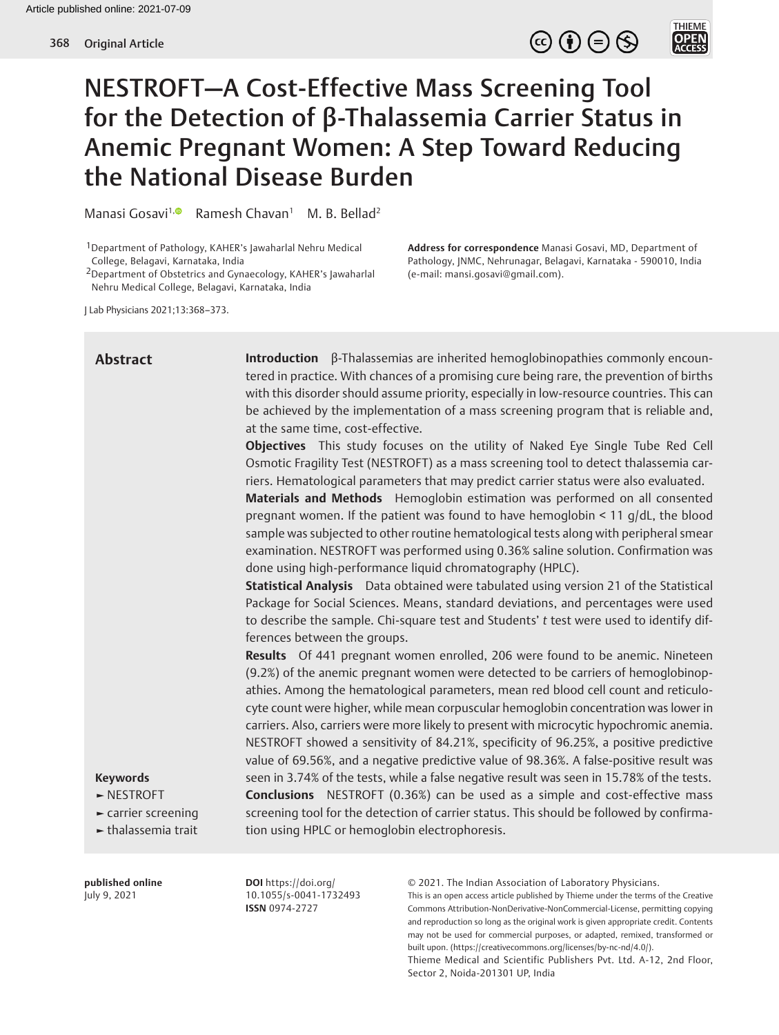$\circledcirc \oplus \circledcirc$ 

THIEME<br>**OPEN**<br>ACCESS

# NESTROFT—A Cost-Effective Mass Screening Tool for the Detection of β-Thalassemia Carrier Status in Anemic Pregnant Women: A Step Toward Reducing the National Disease Burden

Manasi Gosavi<sup>1[,](http://orcid.org/0000-0003-4283-134X) **B** Ramesh Chavan<sup>1</sup> M. B. Bellad<sup>2</sup></sup>

1Department of Pathology, KAHER's Jawaharlal Nehru Medical College, Belagavi, Karnataka, India

2Department of Obstetrics and Gynaecology, KAHER's Jawaharlal Nehru Medical College, Belagavi, Karnataka, India

**Address for correspondence** Manasi Gosavi, MD, Department of Pathology, JNMC, Nehrunagar, Belagavi, Karnataka - 590010, India (e-mail: mansi.gosavi@gmail.com).

J Lab Physicians 2021;13:368–373.

# **Abstract**

**Introduction** β-Thalassemias are inherited hemoglobinopathies commonly encountered in practice. With chances of a promising cure being rare, the prevention of births with this disorder should assume priority, especially in low-resource countries. This can be achieved by the implementation of a mass screening program that is reliable and, at the same time, cost-effective.

**Objectives** This study focuses on the utility of Naked Eye Single Tube Red Cell Osmotic Fragility Test (NESTROFT) as a mass screening tool to detect thalassemia carriers. Hematological parameters that may predict carrier status were also evaluated.

**Materials and Methods** Hemoglobin estimation was performed on all consented pregnant women. If the patient was found to have hemoglobin < 11 g/dL, the blood sample was subjected to other routine hematological tests along with peripheral smear examination. NESTROFT was performed using 0.36% saline solution. Confirmation was done using high-performance liquid chromatography (HPLC).

**Statistical Analysis** Data obtained were tabulated using version 21 of the Statistical Package for Social Sciences. Means, standard deviations, and percentages were used to describe the sample. Chi-square test and Students' *t* test were used to identify differences between the groups.

**Results** Of 441 pregnant women enrolled, 206 were found to be anemic. Nineteen (9.2%) of the anemic pregnant women were detected to be carriers of hemoglobinopathies. Among the hematological parameters, mean red blood cell count and reticulocyte count were higher, while mean corpuscular hemoglobin concentration was lower in carriers. Also, carriers were more likely to present with microcytic hypochromic anemia. NESTROFT showed a sensitivity of 84.21%, specificity of 96.25%, a positive predictive value of 69.56%, and a negative predictive value of 98.36%. A false-positive result was seen in 3.74% of the tests, while a false negative result was seen in 15.78% of the tests. **Conclusions** NESTROFT (0.36%) can be used as a simple and cost-effective mass screening tool for the detection of carrier status. This should be followed by confirmation using HPLC or hemoglobin electrophoresis.

#### © 2021. The Indian Association of Laboratory Physicians. This is an open access article published by Thieme under the terms of the Creative Commons Attribution-NonDerivative-NonCommercial-License, permitting copying and reproduction so long as the original work is given appropriate credit. Contents may not be used for commercial purposes, or adapted, remixed, transformed or built upon. (https://creativecommons.org/licenses/by-nc-nd/4.0/). Thieme Medical and Scientific Publishers Pvt. Ltd. A-12, 2nd Floor, Sector 2, Noida-201301 UP, India

#### **Keywords**

- **►** NESTROFT
- **►** carrier screening

**►** thalassemia trait

**published online** July 9, 2021

**DOI** https://doi.org/ 10.1055/s-0041-1732493 **ISSN** 0974-2727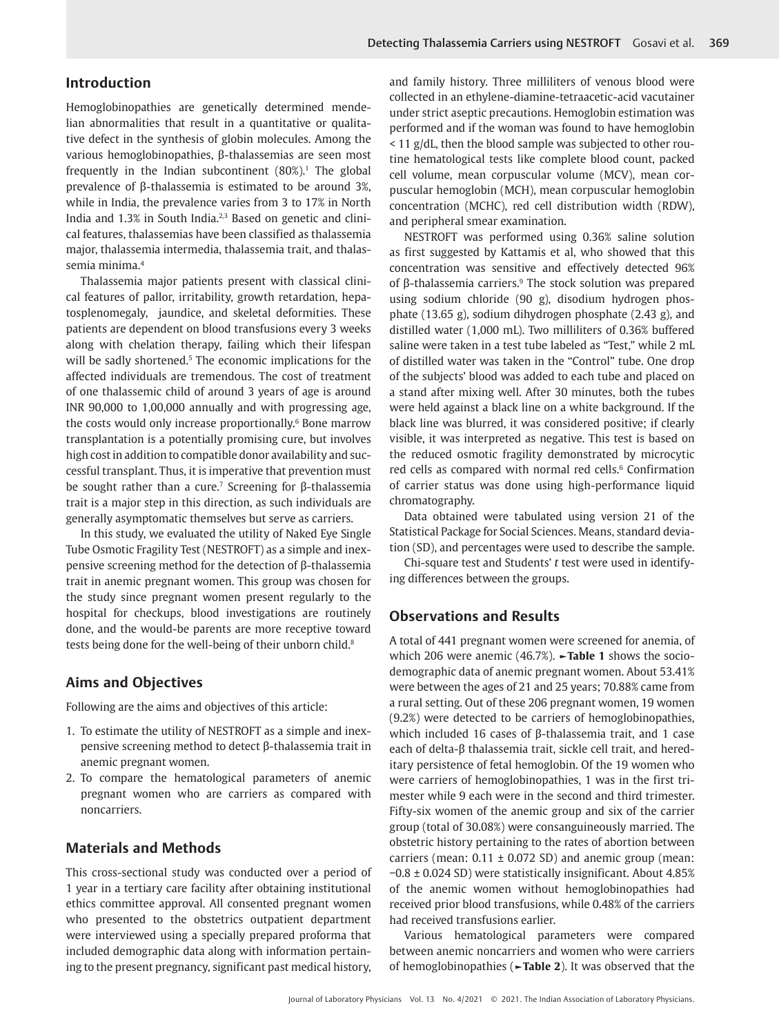#### **Introduction**

Hemoglobinopathies are genetically determined mendelian abnormalities that result in a quantitative or qualitative defect in the synthesis of globin molecules. Among the various hemoglobinopathies, β-thalassemias are seen most frequently in the Indian subcontinent  $(80\%)$ <sup>1</sup>. The global prevalence of β-thalassemia is estimated to be around 3%, while in India, the prevalence varies from 3 to 17% in North India and 1.3% in South India.<sup>2,3</sup> Based on genetic and clinical features, thalassemias have been classified as thalassemia major, thalassemia intermedia, thalassemia trait, and thalassemia minima.4

Thalassemia major patients present with classical clinical features of pallor, irritability, growth retardation, hepatosplenomegaly, jaundice, and skeletal deformities. These patients are dependent on blood transfusions every 3 weeks along with chelation therapy, failing which their lifespan will be sadly shortened.<sup>5</sup> The economic implications for the affected individuals are tremendous. The cost of treatment of one thalassemic child of around 3 years of age is around INR 90,000 to 1,00,000 annually and with progressing age, the costs would only increase proportionally.<sup>6</sup> Bone marrow transplantation is a potentially promising cure, but involves high cost in addition to compatible donor availability and successful transplant. Thus, it is imperative that prevention must be sought rather than a cure.<sup>7</sup> Screening for  $\beta$ -thalassemia trait is a major step in this direction, as such individuals are generally asymptomatic themselves but serve as carriers.

In this study, we evaluated the utility of Naked Eye Single Tube Osmotic Fragility Test (NESTROFT) as a simple and inexpensive screening method for the detection of β-thalassemia trait in anemic pregnant women. This group was chosen for the study since pregnant women present regularly to the hospital for checkups, blood investigations are routinely done, and the would-be parents are more receptive toward tests being done for the well-being of their unborn child.<sup>8</sup>

### **Aims and Objectives**

Following are the aims and objectives of this article:

- 1. To estimate the utility of NESTROFT as a simple and inexpensive screening method to detect β-thalassemia trait in anemic pregnant women.
- 2. To compare the hematological parameters of anemic pregnant women who are carriers as compared with noncarriers.

# **Materials and Methods**

This cross-sectional study was conducted over a period of 1 year in a tertiary care facility after obtaining institutional ethics committee approval. All consented pregnant women who presented to the obstetrics outpatient department were interviewed using a specially prepared proforma that included demographic data along with information pertaining to the present pregnancy, significant past medical history,

and family history. Three milliliters of venous blood were collected in an ethylene-diamine-tetraacetic-acid vacutainer under strict aseptic precautions. Hemoglobin estimation was performed and if the woman was found to have hemoglobin < 11 g/dL, then the blood sample was subjected to other routine hematological tests like complete blood count, packed cell volume, mean corpuscular volume (MCV), mean corpuscular hemoglobin (MCH), mean corpuscular hemoglobin concentration (MCHC), red cell distribution width (RDW), and peripheral smear examination.

NESTROFT was performed using 0.36% saline solution as first suggested by Kattamis et al, who showed that this concentration was sensitive and effectively detected 96% of β-thalassemia carriers.<sup>9</sup> The stock solution was prepared using sodium chloride (90 g), disodium hydrogen phosphate (13.65 g), sodium dihydrogen phosphate (2.43 g), and distilled water (1,000 mL). Two milliliters of 0.36% buffered saline were taken in a test tube labeled as "Test," while 2 mL of distilled water was taken in the "Control" tube. One drop of the subjects' blood was added to each tube and placed on a stand after mixing well. After 30 minutes, both the tubes were held against a black line on a white background. If the black line was blurred, it was considered positive; if clearly visible, it was interpreted as negative. This test is based on the reduced osmotic fragility demonstrated by microcytic red cells as compared with normal red cells.<sup>6</sup> Confirmation of carrier status was done using high-performance liquid chromatography.

Data obtained were tabulated using version 21 of the Statistical Package for Social Sciences. Means, standard deviation (SD), and percentages were used to describe the sample.

Chi-square test and Students' *t* test were used in identifying differences between the groups.

#### **Observations and Results**

A total of 441 pregnant women were screened for anemia, of which 206 were anemic (46.7%). **►Table 1** shows the sociodemographic data of anemic pregnant women. About 53.41% were between the ages of 21 and 25 years; 70.88% came from a rural setting. Out of these 206 pregnant women, 19 women (9.2%) were detected to be carriers of hemoglobinopathies, which included 16 cases of β-thalassemia trait, and 1 case each of delta-β thalassemia trait, sickle cell trait, and hereditary persistence of fetal hemoglobin. Of the 19 women who were carriers of hemoglobinopathies, 1 was in the first trimester while 9 each were in the second and third trimester. Fifty-six women of the anemic group and six of the carrier group (total of 30.08%) were consanguineously married. The obstetric history pertaining to the rates of abortion between carriers (mean:  $0.11 \pm 0.072$  SD) and anemic group (mean: −0.8 ± 0.024 SD) were statistically insignificant. About 4.85% of the anemic women without hemoglobinopathies had received prior blood transfusions, while 0.48% of the carriers had received transfusions earlier.

Various hematological parameters were compared between anemic noncarriers and women who were carriers of hemoglobinopathies (**►Table 2**). It was observed that the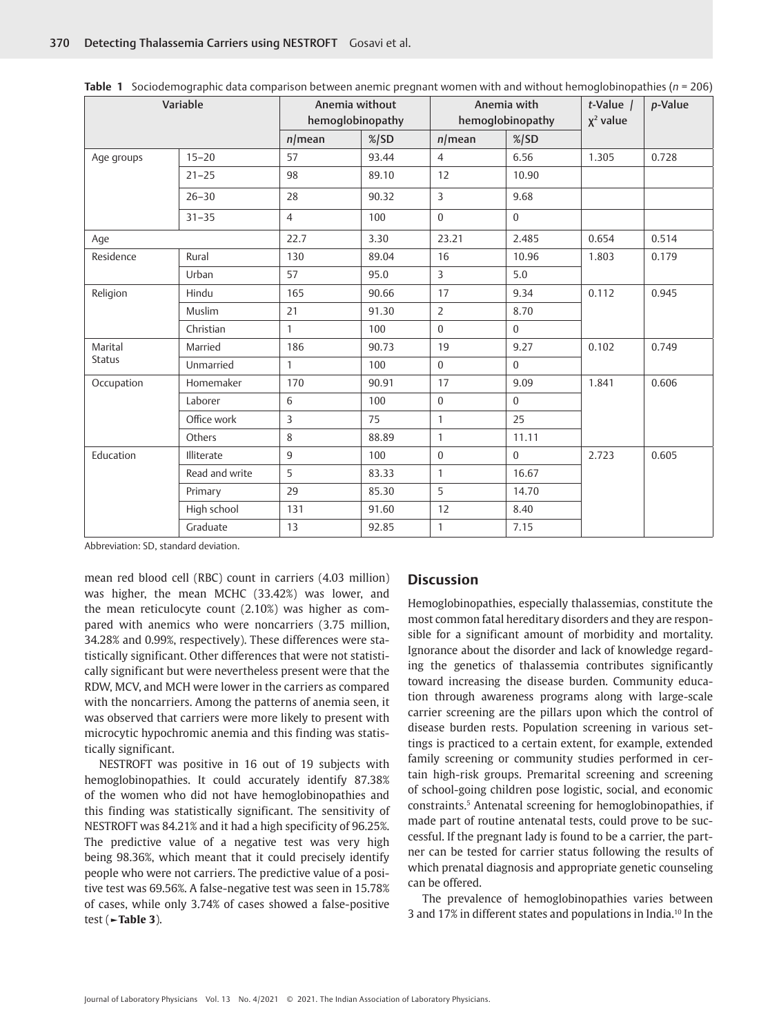| Variable                 |                |                | Anemia without<br>hemoglobinopathy |                | Anemia with<br>hemoglobinopathy |       | p-Value |
|--------------------------|----------------|----------------|------------------------------------|----------------|---------------------------------|-------|---------|
|                          |                | $n$ /mean      | $%$ SD                             | $n$ /mean      | $\frac{\%}{SD}$                 |       |         |
| Age groups               | $15 - 20$      | 57             | 93.44                              | $\overline{4}$ | 6.56                            | 1.305 | 0.728   |
|                          | $21 - 25$      | 98             | 89.10                              | 12             | 10.90                           |       |         |
|                          | $26 - 30$      | 28             | 90.32                              | 3              | 9.68                            |       |         |
|                          | $31 - 35$      | $\overline{4}$ | 100                                | $\Omega$       | $\Omega$                        |       |         |
| Aqe                      |                | 22.7           | 3.30                               | 23.21          | 2.485                           | 0.654 | 0.514   |
| Residence                | Rural          | 130            | 89.04                              | 16             | 10.96                           | 1.803 | 0.179   |
|                          | Urban          | 57             | 95.0                               | 3              | 5.0                             |       |         |
| Religion                 | Hindu          | 165            | 90.66                              | 17             | 9.34                            | 0.112 | 0.945   |
|                          | Muslim         | 21             | 91.30                              | $\overline{2}$ | 8.70                            |       |         |
|                          | Christian      | $\mathbf{1}$   | 100                                | $\Omega$       | $\Omega$                        |       |         |
| Marital<br><b>Status</b> | Married        | 186            | 90.73                              | 19             | 9.27                            | 0.102 | 0.749   |
|                          | Unmarried      | $\mathbf{1}$   | 100                                | $\Omega$       | $\Omega$                        |       |         |
| Occupation               | Homemaker      | 170            | 90.91                              | 17             | 9.09                            | 1.841 | 0.606   |
|                          | Laborer        | 6              | 100                                | $\mathbf{0}$   | $\Omega$                        |       |         |
|                          | Office work    | 3              | 75                                 | $\mathbf{1}$   | 25                              |       |         |
|                          | Others         | 8              | 88.89                              | $\mathbf{1}$   | 11.11                           |       |         |
| Education                | Illiterate     | 9              | 100                                | $\mathbf{0}$   | $\Omega$                        | 2.723 | 0.605   |
|                          | Read and write | 5              | 83.33                              | $\mathbf{1}$   | 16.67                           |       |         |
|                          | Primary        | 29             | 85.30                              | 5              | 14.70                           |       |         |
|                          | High school    | 131            | 91.60                              | 12             | 8.40                            |       |         |
|                          | Graduate       | 13             | 92.85                              | $\mathbf{1}$   | 7.15                            |       |         |

**Table 1** Sociodemographic data comparison between anemic pregnant women with and without hemoglobinopathies (*n* = 206)

Abbreviation: SD, standard deviation.

mean red blood cell (RBC) count in carriers (4.03 million) was higher, the mean MCHC (33.42%) was lower, and the mean reticulocyte count (2.10%) was higher as compared with anemics who were noncarriers (3.75 million, 34.28% and 0.99%, respectively). These differences were statistically significant. Other differences that were not statistically significant but were nevertheless present were that the RDW, MCV, and MCH were lower in the carriers as compared with the noncarriers. Among the patterns of anemia seen, it was observed that carriers were more likely to present with microcytic hypochromic anemia and this finding was statistically significant.

NESTROFT was positive in 16 out of 19 subjects with hemoglobinopathies. It could accurately identify 87.38% of the women who did not have hemoglobinopathies and this finding was statistically significant. The sensitivity of NESTROFT was 84.21% and it had a high specificity of 96.25%. The predictive value of a negative test was very high being 98.36%, which meant that it could precisely identify people who were not carriers. The predictive value of a positive test was 69.56%. A false-negative test was seen in 15.78% of cases, while only 3.74% of cases showed a false-positive test (**►Table 3**).

#### **Discussion**

Hemoglobinopathies, especially thalassemias, constitute the most common fatal hereditary disorders and they are responsible for a significant amount of morbidity and mortality. Ignorance about the disorder and lack of knowledge regarding the genetics of thalassemia contributes significantly toward increasing the disease burden. Community education through awareness programs along with large-scale carrier screening are the pillars upon which the control of disease burden rests. Population screening in various settings is practiced to a certain extent, for example, extended family screening or community studies performed in certain high-risk groups. Premarital screening and screening of school-going children pose logistic, social, and economic constraints.5 Antenatal screening for hemoglobinopathies, if made part of routine antenatal tests, could prove to be successful. If the pregnant lady is found to be a carrier, the partner can be tested for carrier status following the results of which prenatal diagnosis and appropriate genetic counseling can be offered.

The prevalence of hemoglobinopathies varies between 3 and 17% in different states and populations in India.10 In the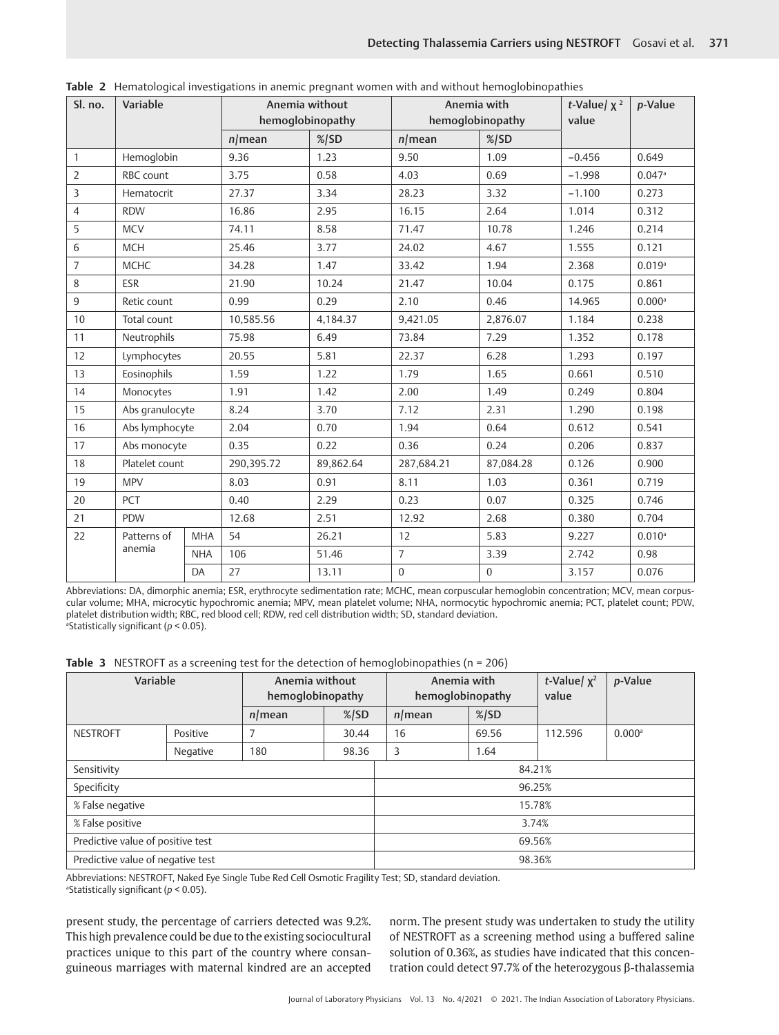| Sl. no.        | Variable              |            | Anemia without<br>hemoglobinopathy | Anemia with<br>hemoglobinopathy |                | t-Value/ $x^2$<br>value | p-Value  |                      |
|----------------|-----------------------|------------|------------------------------------|---------------------------------|----------------|-------------------------|----------|----------------------|
|                |                       |            | $n$ /mean                          | $\frac{\%}{SD}$                 | $n$ /mean      | $\frac{\%}{SD}$         |          |                      |
| $\mathbf{1}$   | Hemoglobin            |            | 9.36                               | 1.23                            | 9.50           | 1.09                    | $-0.456$ | 0.649                |
| $\overline{2}$ | RBC count             |            | 3.75                               | 0.58                            | 4.03           | 0.69                    | $-1.998$ | $0.047$ <sup>a</sup> |
| 3              | Hematocrit            |            | 27.37                              | 3.34                            | 28.23          | 3.32                    | $-1.100$ | 0.273                |
| $\overline{4}$ | <b>RDW</b>            |            | 16.86                              | 2.95                            | 16.15          | 2.64                    | 1.014    | 0.312                |
| 5              | <b>MCV</b>            |            | 74.11                              | 8.58                            | 71.47          | 10.78                   | 1.246    | 0.214                |
| 6              | <b>MCH</b>            |            | 25.46                              | 3.77                            | 24.02          | 4.67                    | 1.555    | 0.121                |
| $\overline{7}$ | <b>MCHC</b>           |            | 34.28                              | 1.47                            | 33.42          | 1.94                    | 2.368    | 0.019a               |
| 8              | <b>ESR</b>            |            | 21.90                              | 10.24                           | 21.47          | 10.04                   | 0.175    | 0.861                |
| 9              | Retic count           |            | 0.99                               | 0.29                            | 2.10           | 0.46                    | 14.965   | $0.000$ <sup>a</sup> |
| 10             | Total count           |            | 10,585.56                          | 4,184.37                        | 9,421.05       | 2,876.07                | 1.184    | 0.238                |
| 11             | Neutrophils           |            | 75.98                              | 6.49                            | 73.84          | 7.29                    | 1.352    | 0.178                |
| 12             | Lymphocytes           |            | 20.55                              | 5.81                            | 22.37          | 6.28                    | 1.293    | 0.197                |
| 13             | Eosinophils           |            | 1.59                               | 1.22                            | 1.79           | 1.65                    | 0.661    | 0.510                |
| 14             | Monocytes             |            | 1.91                               | 1.42                            | 2.00           | 1.49                    | 0.249    | 0.804                |
| 15             | Abs granulocyte       |            | 8.24                               | 3.70                            | 7.12           | 2.31                    | 1.290    | 0.198                |
| 16             | Abs lymphocyte        |            | 2.04                               | 0.70                            | 1.94           | 0.64                    | 0.612    | 0.541                |
| 17             | Abs monocyte          |            | 0.35                               | 0.22                            | 0.36           | 0.24                    | 0.206    | 0.837                |
| 18             | Platelet count        |            | 290,395.72                         | 89,862.64                       | 287,684.21     | 87,084.28               | 0.126    | 0.900                |
| 19             | <b>MPV</b>            |            | 8.03                               | 0.91                            | 8.11           | 1.03                    | 0.361    | 0.719                |
| 20             | <b>PCT</b>            |            | 0.40                               | 2.29                            | 0.23           | 0.07                    | 0.325    | 0.746                |
| 21             | PDW                   |            | 12.68                              | 2.51                            | 12.92          | 2.68                    | 0.380    | 0.704                |
| 22             | Patterns of<br>anemia | <b>MHA</b> | 54                                 | 26.21                           | 12             | 5.83                    | 9.227    | $0.010$ <sup>a</sup> |
|                |                       | <b>NHA</b> | 106                                | 51.46                           | $\overline{7}$ | 3.39                    | 2.742    | 0.98                 |
|                | DA                    | 27         | 13.11                              | $\boldsymbol{0}$                | $\mathbf{0}$   | 3.157                   | 0.076    |                      |

**Table 2** Hematological investigations in anemic pregnant women with and without hemoglobinopathies

Abbreviations: DA, dimorphic anemia; ESR, erythrocyte sedimentation rate; MCHC, mean corpuscular hemoglobin concentration; MCV, mean corpuscular volume; MHA, microcytic hypochromic anemia; MPV, mean platelet volume; NHA, normocytic hypochromic anemia; PCT, platelet count; PDW, platelet distribution width; RBC, red blood cell; RDW, red cell distribution width; SD, standard deviation. a Statistically significant (*p* < 0.05).

**Table 3** NESTROFT as a screening test for the detection of hemoglobinopathies (n = 206)

| Variable                          |          | Anemia without<br>hemoglobinopathy |                 |           | Anemia with<br>hemoglobinopathy |         | p-Value              |  |
|-----------------------------------|----------|------------------------------------|-----------------|-----------|---------------------------------|---------|----------------------|--|
|                                   |          | $n$ /mean                          | $\frac{\%}{SD}$ | $n$ /mean | $\frac{\%}{SD}$                 |         |                      |  |
| <b>NESTROFT</b>                   | Positive | 7                                  | 30.44           | 16        | 69.56                           | 112.596 | $0.000$ <sup>a</sup> |  |
|                                   | Negative | 180                                | 98.36           | 3         | 1.64                            |         |                      |  |
| Sensitivity                       |          |                                    |                 | 84.21%    |                                 |         |                      |  |
| Specificity                       |          |                                    |                 | 96.25%    |                                 |         |                      |  |
| % False negative                  |          |                                    |                 | 15.78%    |                                 |         |                      |  |
| % False positive                  |          |                                    |                 | 3.74%     |                                 |         |                      |  |
| Predictive value of positive test |          |                                    |                 | 69.56%    |                                 |         |                      |  |
| Predictive value of negative test |          |                                    |                 | 98.36%    |                                 |         |                      |  |

Abbreviations: NESTROFT, Naked Eye Single Tube Red Cell Osmotic Fragility Test; SD, standard deviation.

a Statistically significant (*p* < 0.05).

present study, the percentage of carriers detected was 9.2%. This high prevalence could be due to the existing sociocultural practices unique to this part of the country where consanguineous marriages with maternal kindred are an accepted norm. The present study was undertaken to study the utility of NESTROFT as a screening method using a buffered saline solution of 0.36%, as studies have indicated that this concentration could detect 97.7% of the heterozygous β-thalassemia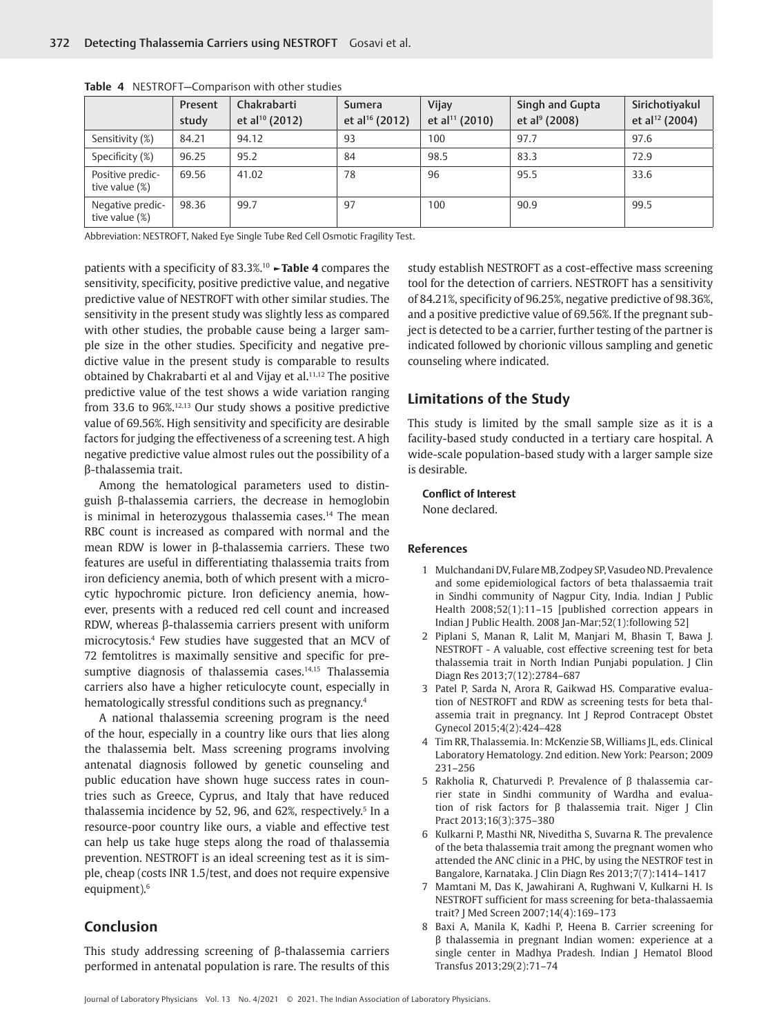|                                    | Present<br>study | Chakrabarti<br>et al <sup>10</sup> (2012) | <b>Sumera</b><br>et al <sup>16</sup> (2012) | Vijay<br>et al <sup>11</sup> (2010) | Singh and Gupta<br>et al <sup>9</sup> (2008) | Sirichotiyakul<br>et al <sup>12</sup> (2004) |
|------------------------------------|------------------|-------------------------------------------|---------------------------------------------|-------------------------------------|----------------------------------------------|----------------------------------------------|
| Sensitivity (%)                    | 84.21            | 94.12                                     | 93                                          | 100                                 | 97.7                                         | 97.6                                         |
| Specificity (%)                    | 96.25            | 95.2                                      | 84                                          | 98.5                                | 83.3                                         | 72.9                                         |
| Positive predic-<br>tive value (%) | 69.56            | 41.02                                     | 78                                          | 96                                  | 95.5                                         | 33.6                                         |
| Negative predic-<br>tive value (%) | 98.36            | 99.7                                      | 97                                          | 100                                 | 90.9                                         | 99.5                                         |

**Table 4** NESTROFT—Comparison with other studies

Abbreviation: NESTROFT, Naked Eye Single Tube Red Cell Osmotic Fragility Test.

patients with a specificity of 83.3%.10 **►Table 4** compares the sensitivity, specificity, positive predictive value, and negative predictive value of NESTROFT with other similar studies. The sensitivity in the present study was slightly less as compared with other studies, the probable cause being a larger sample size in the other studies. Specificity and negative predictive value in the present study is comparable to results obtained by Chakrabarti et al and Vijay et al.<sup>11,12</sup> The positive predictive value of the test shows a wide variation ranging from 33.6 to 96%.12,13 Our study shows a positive predictive value of 69.56%. High sensitivity and specificity are desirable factors for judging the effectiveness of a screening test. A high negative predictive value almost rules out the possibility of a β-thalassemia trait.

Among the hematological parameters used to distinguish β-thalassemia carriers, the decrease in hemoglobin is minimal in heterozygous thalassemia cases.<sup>14</sup> The mean RBC count is increased as compared with normal and the mean RDW is lower in β-thalassemia carriers. These two features are useful in differentiating thalassemia traits from iron deficiency anemia, both of which present with a microcytic hypochromic picture. Iron deficiency anemia, however, presents with a reduced red cell count and increased RDW, whereas β-thalassemia carriers present with uniform microcytosis.4 Few studies have suggested that an MCV of 72 femtolitres is maximally sensitive and specific for presumptive diagnosis of thalassemia cases.<sup>14,15</sup> Thalassemia carriers also have a higher reticulocyte count, especially in hematologically stressful conditions such as pregnancy.<sup>4</sup>

A national thalassemia screening program is the need of the hour, especially in a country like ours that lies along the thalassemia belt. Mass screening programs involving antenatal diagnosis followed by genetic counseling and public education have shown huge success rates in countries such as Greece, Cyprus, and Italy that have reduced thalassemia incidence by 52, 96, and 62%, respectively.<sup>5</sup> In a resource-poor country like ours, a viable and effective test can help us take huge steps along the road of thalassemia prevention. NESTROFT is an ideal screening test as it is simple, cheap (costs INR 1.5/test, and does not require expensive equipment).<sup>6</sup>

# **Conclusion**

This study addressing screening of β-thalassemia carriers performed in antenatal population is rare. The results of this study establish NESTROFT as a cost-effective mass screening tool for the detection of carriers. NESTROFT has a sensitivity of 84.21%, specificity of 96.25%, negative predictive of 98.36%, and a positive predictive value of 69.56%. If the pregnant subject is detected to be a carrier, further testing of the partner is indicated followed by chorionic villous sampling and genetic counseling where indicated.

## **Limitations of the Study**

This study is limited by the small sample size as it is a facility-based study conducted in a tertiary care hospital. A wide-scale population-based study with a larger sample size is desirable.

#### **Conflict of Interest**

None declared.

#### **References**

- 1 Mulchandani DV, Fulare MB, Zodpey SP, Vasudeo ND. Prevalence and some epidemiological factors of beta thalassaemia trait in Sindhi community of Nagpur City, India. Indian J Public Health 2008;52(1):11–15 [published correction appears in Indian J Public Health. 2008 Jan-Mar;52(1):following 52]
- 2 Piplani S, Manan R, Lalit M, Manjari M, Bhasin T, Bawa J. NESTROFT - A valuable, cost effective screening test for beta thalassemia trait in North Indian Punjabi population. J Clin Diagn Res 2013;7(12):2784–687
- 3 Patel P, Sarda N, Arora R, Gaikwad HS. Comparative evaluation of NESTROFT and RDW as screening tests for beta thalassemia trait in pregnancy. Int J Reprod Contracept Obstet Gynecol 2015;4(2):424–428
- 4 Tim RR, Thalassemia. In: McKenzie SB, Williams JL, eds. Clinical Laboratory Hematology. 2nd edition. New York: Pearson; 2009 231–256
- 5 Rakholia R, Chaturvedi P. Prevalence of β thalassemia carrier state in Sindhi community of Wardha and evaluation of risk factors for β thalassemia trait. Niger J Clin Pract 2013;16(3):375–380
- 6 Kulkarni P, Masthi NR, Niveditha S, Suvarna R. The prevalence of the beta thalassemia trait among the pregnant women who attended the ANC clinic in a PHC, by using the NESTROF test in Bangalore, Karnataka. J Clin Diagn Res 2013;7(7):1414–1417
- 7 Mamtani M, Das K, Jawahirani A, Rughwani V, Kulkarni H. Is NESTROFT sufficient for mass screening for beta-thalassaemia trait? J Med Screen 2007;14(4):169–173
- 8 Baxi A, Manila K, Kadhi P, Heena B. Carrier screening for β thalassemia in pregnant Indian women: experience at a single center in Madhya Pradesh. Indian J Hematol Blood Transfus 2013;29(2):71–74